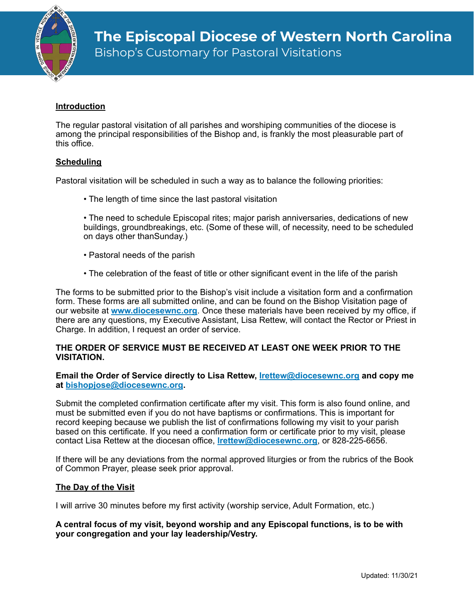

Bishop's Customary for Pastoral Visitations

# **Introduction**

The regular pastoral visitation of all parishes and worshiping communities of the diocese is among the principal responsibilities of the Bishop and, is frankly the most pleasurable part of this office.

# **Scheduling**

Pastoral visitation will be scheduled in such a way as to balance the following priorities:

- The length of time since the last pastoral visitation
- The need to schedule Episcopal rites; major parish anniversaries, dedications of new buildings, groundbreakings, etc. (Some of these will, of necessity, need to be scheduled on days other thanSunday.)
- Pastoral needs of the parish
- The celebration of the feast of title or other significant event in the life of the parish

The forms to be submitted prior to the Bishop's visit include a visitation form and a confirmation form. These forms are all submitted online, and can be found on the Bishop Visitation page of our website at **[www.diocesewnc.org](http://www.diocesewnc.org)**. Once these materials have been received by my office, if there are any questions, my Executive Assistant, Lisa Rettew, will contact the Rector or Priest in Charge. In addition, I request an order of service.

### **THE ORDER OF SERVICE MUST BE RECEIVED AT LEAST ONE WEEK PRIOR TO THE VISITATION.**

#### **Email the Order of Service directly to Lisa Rettew, [lrettew@diocesewnc.org](mailto:lrettew@diocesewnc.org) and copy me at [bishopjose@diocesewnc.org.](mailto:bishopjose@diocesewnc.org)**

Submit the completed confirmation certificate after my visit. This form is also found online, and must be submitted even if you do not have baptisms or confirmations. This is important for record keeping because we publish the list of confirmations following my visit to your parish based on this certificate. If you need a confirmation form or certificate prior to my visit, please contact Lisa Rettew at the diocesan office, **[lrettew@diocesewnc.org](mailto:lrettew@diocesewnc.org)**, or 828-225-6656.

If there will be any deviations from the normal approved liturgies or from the rubrics of the Book of Common Prayer, please seek prior approval.

## **The Day of the Visit**

I will arrive 30 minutes before my first activity (worship service, Adult Formation, etc.)

#### **A central focus of my visit, beyond worship and any Episcopal functions, is to be with your congregation and your lay leadership/Vestry.**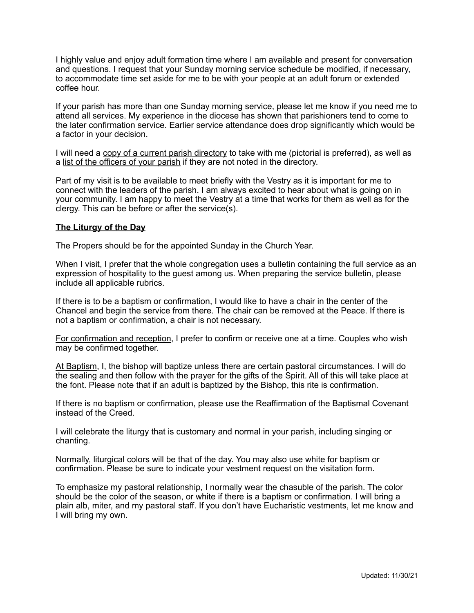I highly value and enjoy adult formation time where I am available and present for conversation and questions. I request that your Sunday morning service schedule be modified, if necessary, to accommodate time set aside for me to be with your people at an adult forum or extended coffee hour.

If your parish has more than one Sunday morning service, please let me know if you need me to attend all services. My experience in the diocese has shown that parishioners tend to come to the later confirmation service. Earlier service attendance does drop significantly which would be a factor in your decision.

I will need a copy of a current parish directory to take with me (pictorial is preferred), as well as a list of the officers of your parish if they are not noted in the directory.

Part of my visit is to be available to meet briefly with the Vestry as it is important for me to connect with the leaders of the parish. I am always excited to hear about what is going on in your community. I am happy to meet the Vestry at a time that works for them as well as for the clergy. This can be before or after the service(s).

### **The Liturgy of the Day**

The Propers should be for the appointed Sunday in the Church Year.

When I visit, I prefer that the whole congregation uses a bulletin containing the full service as an expression of hospitality to the guest among us. When preparing the service bulletin, please include all applicable rubrics.

If there is to be a baptism or confirmation, I would like to have a chair in the center of the Chancel and begin the service from there. The chair can be removed at the Peace. If there is not a baptism or confirmation, a chair is not necessary.

For confirmation and reception, I prefer to confirm or receive one at a time. Couples who wish may be confirmed together.

At Baptism, I, the bishop will baptize unless there are certain pastoral circumstances. I will do the sealing and then follow with the prayer for the gifts of the Spirit. All of this will take place at the font. Please note that if an adult is baptized by the Bishop, this rite is confirmation.

If there is no baptism or confirmation, please use the Reaffirmation of the Baptismal Covenant instead of the Creed.

I will celebrate the liturgy that is customary and normal in your parish, including singing or chanting.

Normally, liturgical colors will be that of the day. You may also use white for baptism or confirmation. Please be sure to indicate your vestment request on the visitation form.

To emphasize my pastoral relationship, I normally wear the chasuble of the parish. The color should be the color of the season, or white if there is a baptism or confirmation. I will bring a plain alb, miter, and my pastoral staff. If you don't have Eucharistic vestments, let me know and I will bring my own.